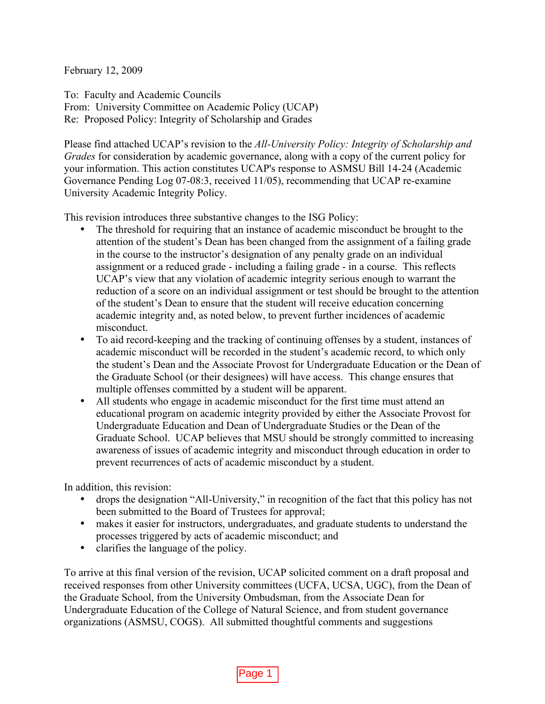February 12, 2009

To: Faculty and Academic Councils From: University Committee on Academic Policy (UCAP) Re: Proposed Policy: Integrity of Scholarship and Grades

Please find attached UCAP's revision to the *All-University Policy: Integrity of Scholarship and Grades* for consideration by academic governance, along with a copy of the current policy for your information. This action constitutes UCAP's response to ASMSU Bill 14-24 (Academic Governance Pending Log 07-08:3, received 11/05), recommending that UCAP re-examine University Academic Integrity Policy.

This revision introduces three substantive changes to the ISG Policy:

- The threshold for requiring that an instance of academic misconduct be brought to the attention of the student's Dean has been changed from the assignment of a failing grade in the course to the instructor's designation of any penalty grade on an individual assignment or a reduced grade - including a failing grade - in a course. This reflects UCAP's view that any violation of academic integrity serious enough to warrant the reduction of a score on an individual assignment or test should be brought to the attention of the student's Dean to ensure that the student will receive education concerning academic integrity and, as noted below, to prevent further incidences of academic misconduct.
- To aid record-keeping and the tracking of continuing offenses by a student, instances of academic misconduct will be recorded in the student's academic record, to which only the student's Dean and the Associate Provost for Undergraduate Education or the Dean of the Graduate School (or their designees) will have access. This change ensures that multiple offenses committed by a student will be apparent.
- All students who engage in academic misconduct for the first time must attend an educational program on academic integrity provided by either the Associate Provost for Undergraduate Education and Dean of Undergraduate Studies or the Dean of the Graduate School. UCAP believes that MSU should be strongly committed to increasing awareness of issues of academic integrity and misconduct through education in order to prevent recurrences of acts of academic misconduct by a student.

In addition, this revision:

- drops the designation "All-University," in recognition of the fact that this policy has not been submitted to the Board of Trustees for approval;
- makes it easier for instructors, undergraduates, and graduate students to understand the processes triggered by acts of academic misconduct; and
- clarifies the language of the policy.

To arrive at this final version of the revision, UCAP solicited comment on a draft proposal and received responses from other University committees (UCFA, UCSA, UGC), from the Dean of the Graduate School, from the University Ombudsman, from the Associate Dean for Undergraduate Education of the College of Natural Science, and from student governance organizations (ASMSU, COGS). All submitted thoughtful comments and suggestions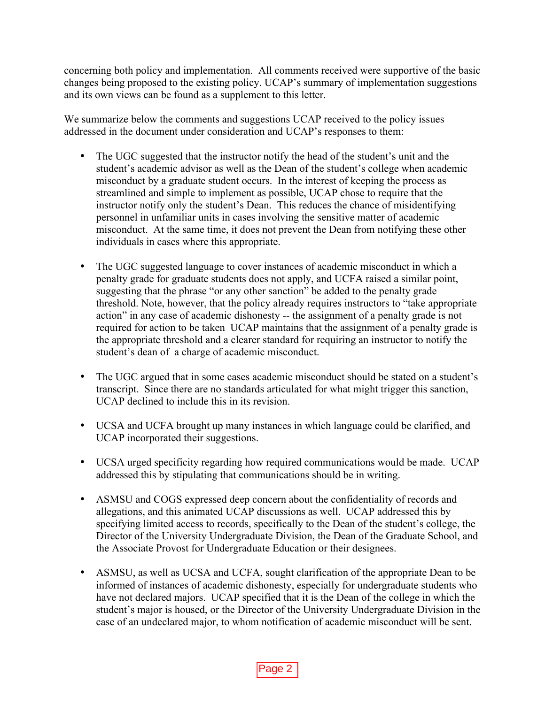concerning both policy and implementation. All comments received were supportive of the basic changes being proposed to the existing policy. UCAP's summary of implementation suggestions and its own views can be found as a supplement to this letter.

We summarize below the comments and suggestions UCAP received to the policy issues addressed in the document under consideration and UCAP's responses to them:

- The UGC suggested that the instructor notify the head of the student's unit and the student's academic advisor as well as the Dean of the student's college when academic misconduct by a graduate student occurs. In the interest of keeping the process as streamlined and simple to implement as possible, UCAP chose to require that the instructor notify only the student's Dean. This reduces the chance of misidentifying personnel in unfamiliar units in cases involving the sensitive matter of academic misconduct. At the same time, it does not prevent the Dean from notifying these other individuals in cases where this appropriate.
- The UGC suggested language to cover instances of academic misconduct in which a penalty grade for graduate students does not apply, and UCFA raised a similar point, suggesting that the phrase "or any other sanction" be added to the penalty grade threshold. Note, however, that the policy already requires instructors to "take appropriate action" in any case of academic dishonesty -- the assignment of a penalty grade is not required for action to be taken UCAP maintains that the assignment of a penalty grade is the appropriate threshold and a clearer standard for requiring an instructor to notify the student's dean of a charge of academic misconduct.
- The UGC argued that in some cases academic misconduct should be stated on a student's transcript. Since there are no standards articulated for what might trigger this sanction, UCAP declined to include this in its revision.
- UCSA and UCFA brought up many instances in which language could be clarified, and UCAP incorporated their suggestions.
- UCSA urged specificity regarding how required communications would be made. UCAP addressed this by stipulating that communications should be in writing.
- ASMSU and COGS expressed deep concern about the confidentiality of records and allegations, and this animated UCAP discussions as well. UCAP addressed this by specifying limited access to records, specifically to the Dean of the student's college, the Director of the University Undergraduate Division, the Dean of the Graduate School, and the Associate Provost for Undergraduate Education or their designees.
- ASMSU, as well as UCSA and UCFA, sought clarification of the appropriate Dean to be informed of instances of academic dishonesty, especially for undergraduate students who have not declared majors. UCAP specified that it is the Dean of the college in which the student's major is housed, or the Director of the University Undergraduate Division in the case of an undeclared major, to whom notification of academic misconduct will be sent.

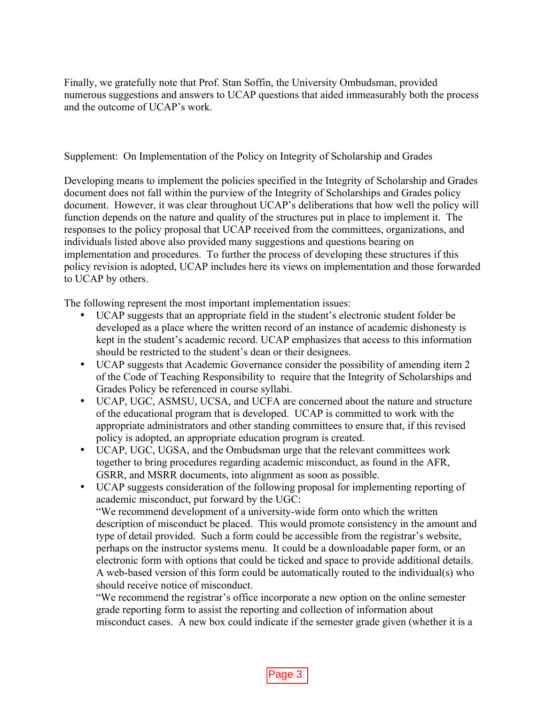Finally, we gratefully note that Prof. Stan Soffin, the University Ombudsman, provided numerous suggestions and answers to UCAP questions that aided immeasurably both the process and the outcome of UCAP's work.

Supplement: On Implementation of the Policy on Integrity of Scholarship and Grades

Developing means to implement the policies specified in the Integrity of Scholarship and Grades document does not fall within the purview of the Integrity of Scholarships and Grades policy document. However, it was clear throughout UCAP's deliberations that how well the policy will function depends on the nature and quality of the structures put in place to implement it. The responses to the policy proposal that UCAP received from the committees, organizations, and individuals listed above also provided many suggestions and questions bearing on implementation and procedures. To further the process of developing these structures if this policy revision is adopted, UCAP includes here its views on implementation and those forwarded to UCAP by others.

The following represent the most important implementation issues:

- UCAP suggests that an appropriate field in the student's electronic student folder be developed as a place where the written record of an instance of academic dishonesty is kept in the student's academic record. UCAP emphasizes that access to this information should be restricted to the student's dean or their designees.
- UCAP suggests that Academic Governance consider the possibility of amending item 2 of the Code of Teaching Responsibility to require that the Integrity of Scholarships and Grades Policy be referenced in course syllabi.
- UCAP, UGC, ASMSU, UCSA, and UCFA are concerned about the nature and structure of the educational program that is developed. UCAP is committed to work with the appropriate administrators and other standing committees to ensure that, if this revised policy is adopted, an appropriate education program is created.
- UCAP, UGC, UGSA, and the Ombudsman urge that the relevant committees work together to bring procedures regarding academic misconduct, as found in the AFR, GSRR, and MSRR documents, into alignment as soon as possible.
- UCAP suggests consideration of the following proposal for implementing reporting of academic misconduct, put forward by the UGC: "We recommend development of a university-wide form onto which the written description of misconduct be placed. This would promote consistency in the amount and type of detail provided. Such a form could be accessible from the registrar's website, perhaps on the instructor systems menu. It could be a downloadable paper form, or an electronic form with options that could be ticked and space to provide additional details. A web-based version of this form could be automatically routed to the individual(s) who should receive notice of misconduct.

"We recommend the registrar's office incorporate a new option on the online semester grade reporting form to assist the reporting and collection of information about misconduct cases. A new box could indicate if the semester grade given (whether it is a

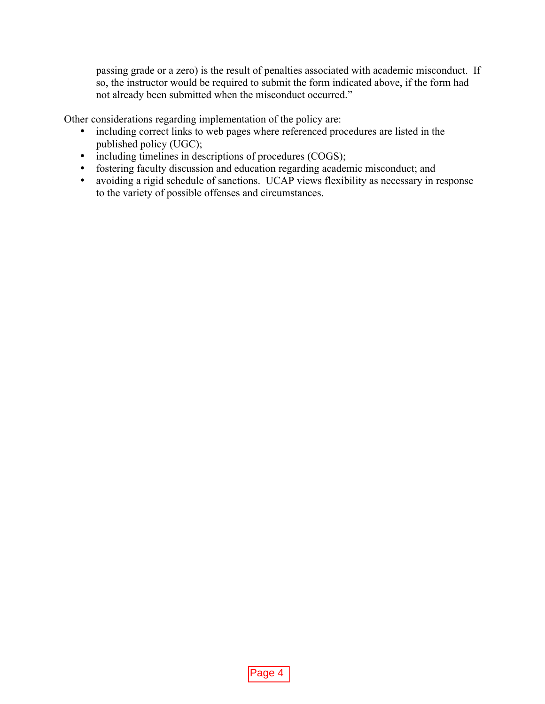passing grade or a zero) is the result of penalties associated with academic misconduct. If so, the instructor would be required to submit the form indicated above, if the form had not already been submitted when the misconduct occurred."

Other considerations regarding implementation of the policy are:

- including correct links to web pages where referenced procedures are listed in the published policy (UGC);
- including timelines in descriptions of procedures (COGS);
- fostering faculty discussion and education regarding academic misconduct; and
- avoiding a rigid schedule of sanctions. UCAP views flexibility as necessary in response to the variety of possible offenses and circumstances.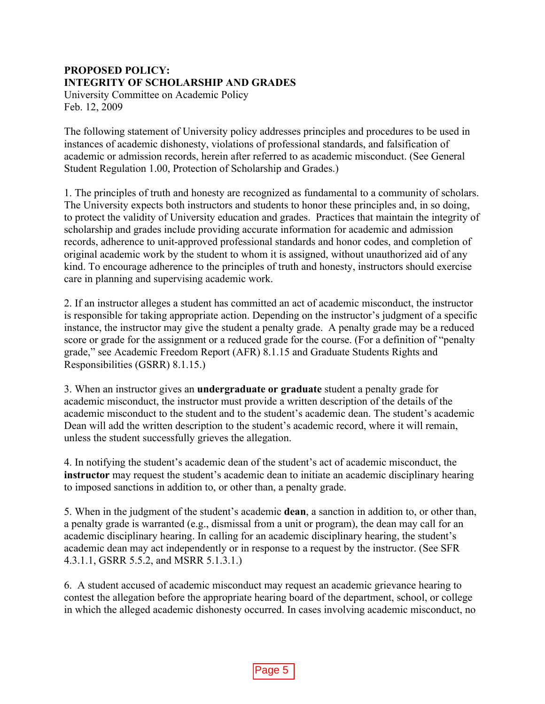## **PROPOSED POLICY: INTEGRITY OF SCHOLARSHIP AND GRADES**

University Committee on Academic Policy Feb. 12, 2009

The following statement of University policy addresses principles and procedures to be used in instances of academic dishonesty, violations of professional standards, and falsification of academic or admission records, herein after referred to as academic misconduct. (See General Student Regulation 1.00, Protection of Scholarship and Grades.)

1. The principles of truth and honesty are recognized as fundamental to a community of scholars. The University expects both instructors and students to honor these principles and, in so doing, to protect the validity of University education and grades. Practices that maintain the integrity of scholarship and grades include providing accurate information for academic and admission records, adherence to unit-approved professional standards and honor codes, and completion of original academic work by the student to whom it is assigned, without unauthorized aid of any kind. To encourage adherence to the principles of truth and honesty, instructors should exercise care in planning and supervising academic work.

2. If an instructor alleges a student has committed an act of academic misconduct, the instructor is responsible for taking appropriate action. Depending on the instructor's judgment of a specific instance, the instructor may give the student a penalty grade. A penalty grade may be a reduced score or grade for the assignment or a reduced grade for the course. (For a definition of "penalty grade," see Academic Freedom Report (AFR) 8.1.15 and Graduate Students Rights and Responsibilities (GSRR) 8.1.15.)

3. When an instructor gives an **undergraduate or graduate** student a penalty grade for academic misconduct, the instructor must provide a written description of the details of the academic misconduct to the student and to the student's academic dean. The student's academic Dean will add the written description to the student's academic record, where it will remain, unless the student successfully grieves the allegation.

4. In notifying the student's academic dean of the student's act of academic misconduct, the **instructor** may request the student's academic dean to initiate an academic disciplinary hearing to imposed sanctions in addition to, or other than, a penalty grade.

5. When in the judgment of the student's academic **dean**, a sanction in addition to, or other than, a penalty grade is warranted (e.g., dismissal from a unit or program), the dean may call for an academic disciplinary hearing. In calling for an academic disciplinary hearing, the student's academic dean may act independently or in response to a request by the instructor. (See SFR 4.3.1.1, GSRR 5.5.2, and MSRR 5.1.3.1.)

6. A student accused of academic misconduct may request an academic grievance hearing to contest the allegation before the appropriate hearing board of the department, school, or college in which the alleged academic dishonesty occurred. In cases involving academic misconduct, no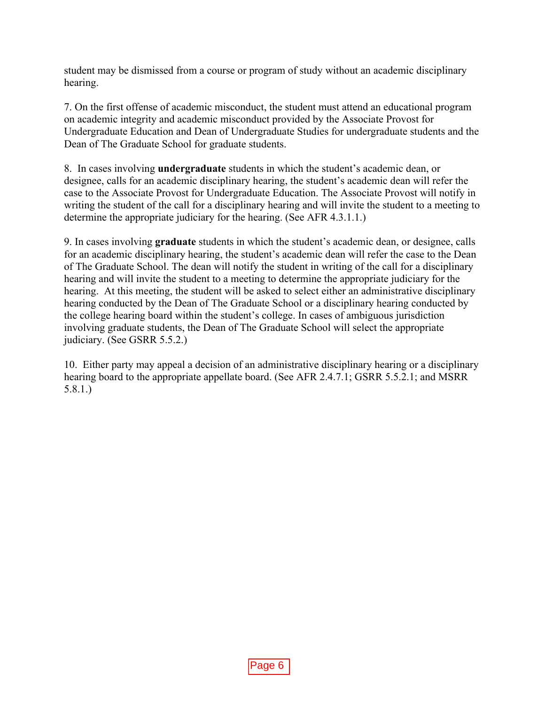student may be dismissed from a course or program of study without an academic disciplinary hearing.

7. On the first offense of academic misconduct, the student must attend an educational program on academic integrity and academic misconduct provided by the Associate Provost for Undergraduate Education and Dean of Undergraduate Studies for undergraduate students and the Dean of The Graduate School for graduate students.

8. In cases involving **undergraduate** students in which the student's academic dean, or designee, calls for an academic disciplinary hearing, the student's academic dean will refer the case to the Associate Provost for Undergraduate Education. The Associate Provost will notify in writing the student of the call for a disciplinary hearing and will invite the student to a meeting to determine the appropriate judiciary for the hearing. (See AFR 4.3.1.1.)

9. In cases involving **graduate** students in which the student's academic dean, or designee, calls for an academic disciplinary hearing, the student's academic dean will refer the case to the Dean of The Graduate School. The dean will notify the student in writing of the call for a disciplinary hearing and will invite the student to a meeting to determine the appropriate judiciary for the hearing. At this meeting, the student will be asked to select either an administrative disciplinary hearing conducted by the Dean of The Graduate School or a disciplinary hearing conducted by the college hearing board within the student's college. In cases of ambiguous jurisdiction involving graduate students, the Dean of The Graduate School will select the appropriate judiciary. (See GSRR 5.5.2.)

10. Either party may appeal a decision of an administrative disciplinary hearing or a disciplinary hearing board to the appropriate appellate board. (See AFR 2.4.7.1; GSRR 5.5.2.1; and MSRR 5.8.1.)